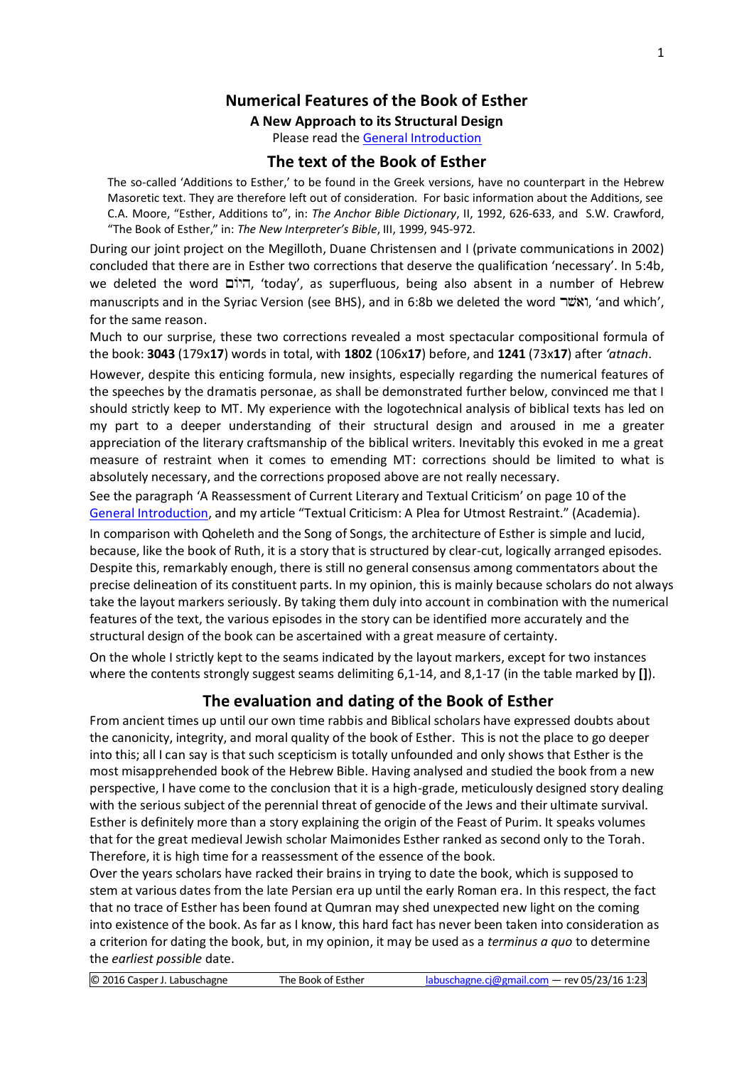# **Numerical Features of the Book of Esther**

## **A New Approach to its Structural Design**

Please read the [General Introduction](http://www.labuschagne.nl/aspects.pdf)

## **The text of the Book of Esther**

The so-called 'Additions to Esther,' to be found in the Greek versions, have no counterpart in the Hebrew Masoretic text. They are therefore left out of consideration. For basic information about the Additions, see C.A. Moore, "Esther, Additions to", in: *The Anchor Bible Dictionary*, II, 1992, 626-633, and S.W. Crawford, "The Book of Esther," in: *The New Interpreter's Bible*, III, 1999, 945-972.

During our joint project on the Megilloth, Duane Christensen and I (private communications in 2002) concluded that there are in Esther two corrections that deserve the qualification 'necessary'. In 5:4b, we deleted the word היום, 'today', as superfluous, being also absent in a number of Hebrew manuscripts and in the Syriac Version (see BHS), and in 6:8b we deleted the word "וֹאשׁר", 'and which', for the same reason.

Much to our surprise, these two corrections revealed a most spectacular compositional formula of the book: **3043** (179x**17**) words in total, with **1802** (106x**17**) before, and **1241** (73x**17**) after *'atnach*.

However, despite this enticing formula, new insights, especially regarding the numerical features of the speeches by the dramatis personae, as shall be demonstrated further below, convinced me that I should strictly keep to MT. My experience with the logotechnical analysis of biblical texts has led on my part to a deeper understanding of their structural design and aroused in me a greater appreciation of the literary craftsmanship of the biblical writers. Inevitably this evoked in me a great measure of restraint when it comes to emending MT: corrections should be limited to what is absolutely necessary, and the corrections proposed above are not really necessary.

See the paragraph 'A Reassessment of Current Literary and Textual Criticism' on page 10 of the [General Introduction,](http://www.labuschagne.nl/aspects.pdf) and my article "Textual Criticism: A Plea for Utmost Restraint." (Academia).

In comparison with Qoheleth and the Song of Songs, the architecture of Esther is simple and lucid, because, like the book of Ruth, it is a story that is structured by clear-cut, logically arranged episodes. Despite this, remarkably enough, there is still no general consensus among commentators about the precise delineation of its constituent parts. In my opinion, this is mainly because scholars do not always take the layout markers seriously. By taking them duly into account in combination with the numerical features of the text, the various episodes in the story can be identified more accurately and the structural design of the book can be ascertained with a great measure of certainty.

On the whole I strictly kept to the seams indicated by the layout markers, except for two instances where the contents strongly suggest seams delimiting 6,1-14, and 8,1-17 (in the table marked by **[]**).

## **The evaluation and dating of the Book of Esther**

From ancient times up until our own time rabbis and Biblical scholars have expressed doubts about the canonicity, integrity, and moral quality of the book of Esther. This is not the place to go deeper into this; all I can say is that such scepticism is totally unfounded and only shows that Esther is the most misapprehended book of the Hebrew Bible. Having analysed and studied the book from a new perspective, I have come to the conclusion that it is a high-grade, meticulously designed story dealing with the serious subject of the perennial threat of genocide of the Jews and their ultimate survival. Esther is definitely more than a story explaining the origin of the Feast of Purim. It speaks volumes that for the great medieval Jewish scholar Maimonides Esther ranked as second only to the Torah. Therefore, it is high time for a reassessment of the essence of the book.

Over the years scholars have racked their brains in trying to date the book, which is supposed to stem at various dates from the late Persian era up until the early Roman era. In this respect, the fact that no trace of Esther has been found at Qumran may shed unexpected new light on the coming into existence of the book. As far as I know, this hard fact has never been taken into consideration as a criterion for dating the book, but, in my opinion, it may be used as a *terminus a quo* to determine the *earliest possible* date.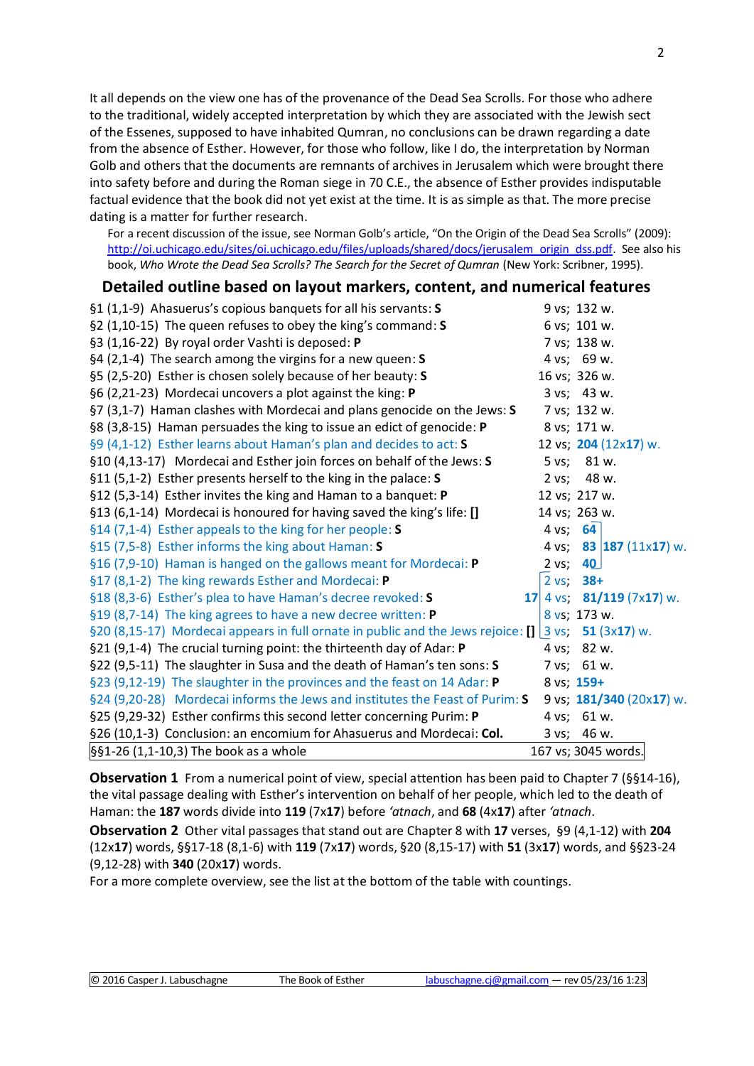It all depends on the view one has of the provenance of the Dead Sea Scrolls. For those who adhere to the traditional, widely accepted interpretation by which they are associated with the Jewish sect of the Essenes, supposed to have inhabited Qumran, no conclusions can be drawn regarding a date from the absence of Esther. However, for those who follow, like I do, the interpretation by Norman Golb and others that the documents are remnants of archives in Jerusalem which were brought there into safety before and during the Roman siege in 70 C.E., the absence of Esther provides indisputable factual evidence that the book did not yet exist at the time. It is as simple as that. The more precise dating is a matter for further research.

For a recent discussion of the issue, see Norman Golb's article, "On the Origin of the Dead Sea Scrolls" (2009): [http://oi.uchicago.edu/sites/oi.uchicago.edu/files/uploads/shared/docs/jerusalem\\_origin\\_dss.pdf.](http://oi.uchicago.edu/sites/oi.uchicago.edu/files/uploads/shared/docs/jerusalem_origin_dss.pdf) See also his book, *Who Wrote the Dead Sea Scrolls? The Search for the Secret of Qumran* (New York: Scribner, 1995).

## **Detailed outline based on layout markers, content, and numerical features**

| §1 (1,1-9) Ahasuerus's copious banquets for all his servants: S                                                  |                 | 9 vs; 132 w.                |
|------------------------------------------------------------------------------------------------------------------|-----------------|-----------------------------|
| §2 (1,10-15) The queen refuses to obey the king's command: S                                                     |                 | 6 vs; 101 w.                |
| §3 (1,16-22) By royal order Vashti is deposed: P                                                                 |                 | 7 vs; 138 w.                |
| §4 (2,1-4) The search among the virgins for a new queen: $S$                                                     |                 | 4 vs; 69 w.                 |
| §5 (2,5-20) Esther is chosen solely because of her beauty: S                                                     |                 | 16 vs; 326 w.               |
| §6 (2,21-23) Mordecai uncovers a plot against the king: P                                                        |                 | 3 vs; 43 w.                 |
| §7 (3,1-7) Haman clashes with Mordecai and plans genocide on the Jews: S                                         |                 | 7 vs; 132 w.                |
| §8 (3,8-15) Haman persuades the king to issue an edict of genocide: P                                            |                 | 8 vs; 171 w.                |
| §9 (4,1-12) Esther learns about Haman's plan and decides to act: S                                               |                 | 12 vs; 204 (12x17) w.       |
| §10 (4,13-17) Mordecai and Esther join forces on behalf of the Jews: S                                           |                 | 5 vs; 81 w.                 |
| §11 (5,1-2) Esther presents herself to the king in the palace: S                                                 |                 | 2 vs; 48 w.                 |
| §12 (5,3-14) Esther invites the king and Haman to a banquet: P                                                   |                 | 12 vs; 217 w.               |
| §13 (6,1-14) Mordecai is honoured for having saved the king's life: []                                           |                 | 14 vs; 263 w.               |
| §14 (7,1-4) Esther appeals to the king for her people: S                                                         | 4 vs; 64        |                             |
| §15 (7,5-8) Esther informs the king about Haman: S                                                               | 4 vs;           | 83 $ 187 (11x17) w$ .       |
| §16 (7,9-10) Haman is hanged on the gallows meant for Mordecai: P                                                | 2 vs;           | 40                          |
| §17 (8,1-2) The king rewards Esther and Mordecai: P                                                              | $2 \text{ vs.}$ | $38 +$                      |
| §18 (8,3-6) Esther's plea to have Haman's decree revoked: S                                                      |                 | 17 4 vs; $81/119$ (7x17) w. |
| §19 (8,7-14) The king agrees to have a new decree written: P                                                     |                 | 8 vs; 173 w.                |
| §20 (8,15-17) Mordecai appears in full ornate in public and the Jews rejoice: $\left[\right]$ 3 vs: 51 (3x17) w. |                 |                             |
| §21 (9,1-4) The crucial turning point: the thirteenth day of Adar: P                                             |                 | 4 vs; 82 w.                 |
| §22 (9,5-11) The slaughter in Susa and the death of Haman's ten sons: S                                          |                 | 7 vs; 61 w.                 |
| §23 (9,12-19) The slaughter in the provinces and the feast on 14 Adar: P                                         |                 | 8 vs; 159+                  |
| §24 (9,20-28) Mordecai informs the Jews and institutes the Feast of Purim: S                                     |                 | 9 vs; $181/340$ (20x17) w.  |
| §25 (9,29-32) Esther confirms this second letter concerning Purim: P                                             |                 | 4 vs; 61 w.                 |
| §26 (10,1-3) Conclusion: an encomium for Ahasuerus and Mordecai: Col.                                            |                 | 3 vs; 46 w.                 |
| $§§1-26(1,1-10,3)$ The book as a whole                                                                           |                 | 167 vs; 3045 words.         |

**Observation 1** From a numerical point of view, special attention has been paid to Chapter 7 (§§14-16), the vital passage dealing with Esther's intervention on behalf of her people, which led to the death of Haman: the **187** words divide into **119** (7x**17**) before *'atnach*, and **68** (4x**17**) after *'atnach*.

**Observation 2** Other vital passages that stand out are Chapter 8 with **17** verses, §9 (4,1-12) with **204** (12x**17**) words, §§17-18 (8,1-6) with **119** (7x**17**) words, §20 (8,15-17) with **51** (3x**17**) words, and §§23-24 (9,12-28) with **340** (20x**17**) words.

For a more complete overview, see the list at the bottom of the table with countings.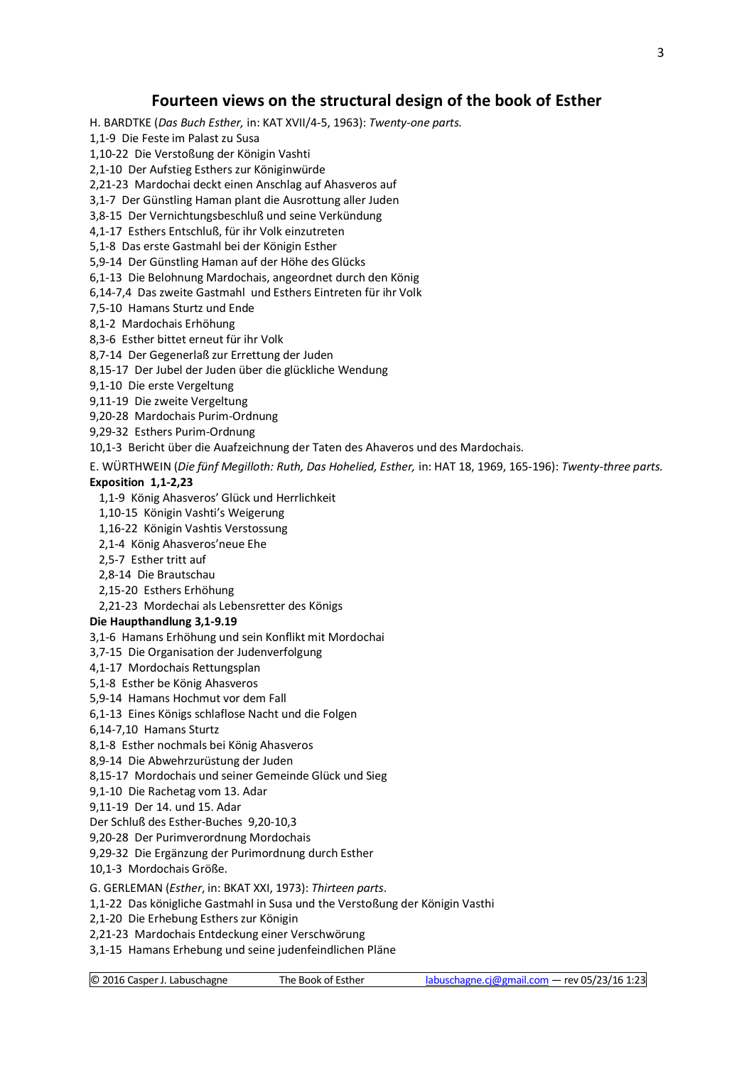## **Fourteen views on the structural design of the book of Esther**

H. BARDTKE (*Das Buch Esther,* in: KAT XVII/4-5, 1963): *Twenty-one parts.*

1,1-9 Die Feste im Palast zu Susa

1,10-22 Die Verstoßung der Königin Vashti

2,1-10 Der Aufstieg Esthers zur Königinwürde

2,21-23 Mardochai deckt einen Anschlag auf Ahasveros auf

3,1-7 Der Günstling Haman plant die Ausrottung aller Juden

3,8-15 Der Vernichtungsbeschluß und seine Verkündung

4,1-17 Esthers Entschluß, für ihr Volk einzutreten

5,1-8 Das erste Gastmahl bei der Königin Esther

5,9-14 Der Günstling Haman auf der Höhe des Glücks

6,1-13 Die Belohnung Mardochais, angeordnet durch den König

6,14-7,4 Das zweite Gastmahl und Esthers Eintreten für ihr Volk

7,5-10 Hamans Sturtz und Ende

8,1-2 Mardochais Erhöhung

8,3-6 Esther bittet erneut für ihr Volk

8,7-14 Der Gegenerlaß zur Errettung der Juden

8,15-17 Der Jubel der Juden über die glückliche Wendung

9,1-10 Die erste Vergeltung

9,11-19 Die zweite Vergeltung

9,20-28 Mardochais Purim-Ordnung

9,29-32 Esthers Purim-Ordnung

10,1-3 Bericht über die Auafzeichnung der Taten des Ahaveros und des Mardochais.

E. WÜRTHWEIN (*Die fünf Megilloth: Ruth, Das Hohelied, Esther,* in: HAT 18, 1969, 165-196): *Twenty-three parts.*

#### **Exposition 1,1-2,23**

1,1-9 König Ahasveros' Glück und Herrlichkeit

1,10-15 Königin Vashti's Weigerung

1,16-22 Königin Vashtis Verstossung

2,1-4 König Ahasveros'neue Ehe

2,5-7 Esther tritt auf

2,8-14 Die Brautschau

2,15-20 Esthers Erhöhung

2,21-23 Mordechai als Lebensretter des Königs

#### **Die Haupthandlung 3,1-9.19**

3,1-6 Hamans Erhöhung und sein Konflikt mit Mordochai

3,7-15 Die Organisation der Judenverfolgung

4,1-17 Mordochais Rettungsplan

5,1-8 Esther be König Ahasveros

5,9-14 Hamans Hochmut vor dem Fall

6,1-13 Eines Königs schlaflose Nacht und die Folgen

#### 6,14-7,10 Hamans Sturtz

8,1-8 Esther nochmals bei König Ahasveros

8,9-14 Die Abwehrzurüstung der Juden

8,15-17 Mordochais und seiner Gemeinde Glück und Sieg

9,1-10 Die Rachetag vom 13. Adar

9,11-19 Der 14. und 15. Adar

Der Schluß des Esther-Buches 9,20-10,3

9,20-28 Der Purimverordnung Mordochais

9,29-32 Die Ergänzung der Purimordnung durch Esther

10,1-3 Mordochais Größe.

G. GERLEMAN (*Esther*, in: BKAT XXI, 1973): *Thirteen parts*.

1,1-22 Das königliche Gastmahl in Susa und the Verstoßung der Königin Vasthi

2,1-20 Die Erhebung Esthers zur Königin

2,21-23 Mardochais Entdeckung einer Verschwörung

3,1-15 Hamans Erhebung und seine judenfeindlichen Pläne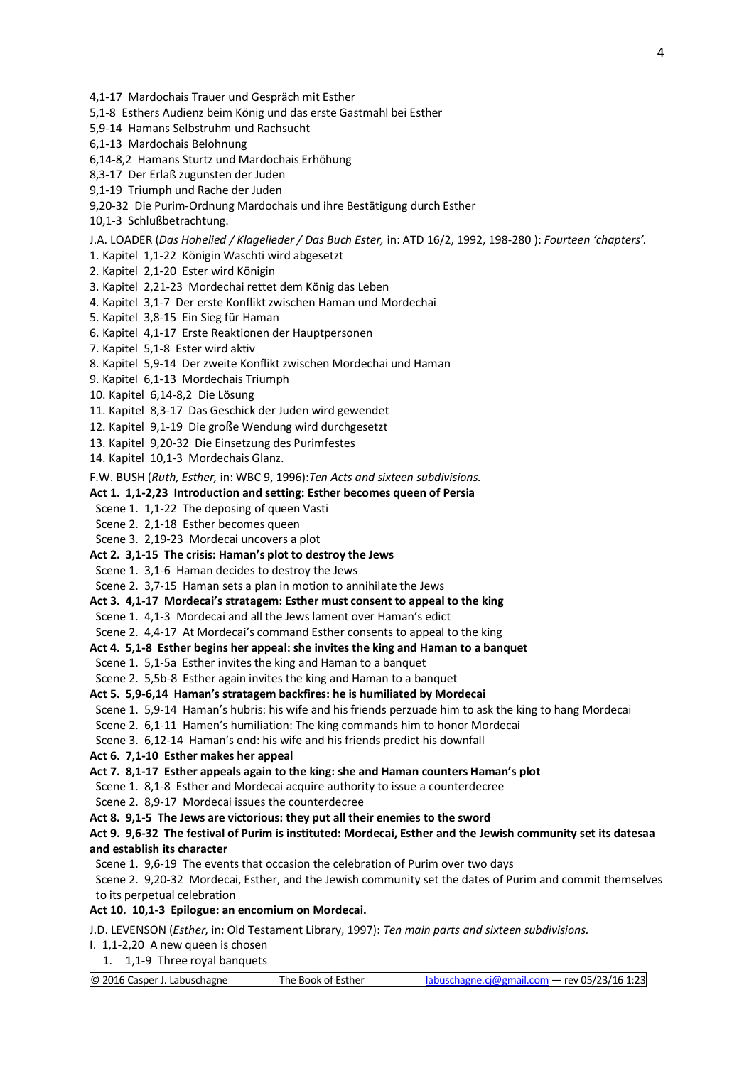- 4,1-17 Mardochais Trauer und Gespräch mit Esther
- 5,1-8 Esthers Audienz beim König und das erste Gastmahl bei Esther
- 5,9-14 Hamans Selbstruhm und Rachsucht
- 6,1-13 Mardochais Belohnung
- 6,14-8,2 Hamans Sturtz und Mardochais Erhöhung
- 8,3-17 Der Erlaß zugunsten der Juden
- 9,1-19 Triumph und Rache der Juden
- 9,20-32 Die Purim-Ordnung Mardochais und ihre Bestätigung durch Esther
- 10,1-3 Schlußbetrachtung.

J.A. LOADER (*Das Hohelied / Klagelieder / Das Buch Ester,* in: ATD 16/2, 1992, 198-280 ): *Fourteen 'chapters'.*

- 1. Kapitel 1,1-22 Königin Waschti wird abgesetzt
- 2. Kapitel 2,1-20 Ester wird Königin
- 3. Kapitel 2,21-23 Mordechai rettet dem König das Leben
- 4. Kapitel 3,1-7 Der erste Konflikt zwischen Haman und Mordechai
- 5. Kapitel 3,8-15 Ein Sieg für Haman
- 6. Kapitel 4,1-17 Erste Reaktionen der Hauptpersonen
- 7. Kapitel 5,1-8 Ester wird aktiv
- 8. Kapitel 5,9-14 Der zweite Konflikt zwischen Mordechai und Haman
- 9. Kapitel 6,1-13 Mordechais Triumph
- 10. Kapitel 6,14-8,2 Die Lösung
- 11. Kapitel 8,3-17 Das Geschick der Juden wird gewendet
- 12. Kapitel 9,1-19 Die große Wendung wird durchgesetzt
- 13. Kapitel 9,20-32 Die Einsetzung des Purimfestes
- 14. Kapitel 10,1-3 Mordechais Glanz.

F.W. BUSH (*Ruth, Esther,* in: WBC 9, 1996):*Ten Acts and sixteen subdivisions.*

#### **Act 1. 1,1-2,23 Introduction and setting: Esther becomes queen of Persia**

- Scene 1. 1,1-22 The deposing of queen Vasti
- Scene 2. 2,1-18 Esther becomes queen
- Scene 3. 2,19-23 Mordecai uncovers a plot
- **Act 2. 3,1-15 The crisis: Haman's plot to destroy the Jews**
- Scene 1. 3,1-6 Haman decides to destroy the Jews
- Scene 2. 3,7-15 Haman sets a plan in motion to annihilate the Jews
- **Act 3. 4,1-17 Mordecai's stratagem: Esther must consent to appeal to the king**
- Scene 1. 4,1-3 Mordecai and all the Jews lament over Haman's edict
- Scene 2. 4,4-17 At Mordecai's command Esther consents to appeal to the king

#### **Act 4. 5,1-8 Esther begins her appeal: she invites the king and Haman to a banquet**

- Scene 1. 5,1-5a Esther invites the king and Haman to a banquet
- Scene 2. 5,5b-8 Esther again invites the king and Haman to a banquet
- **Act 5. 5,9-6,14 Haman's stratagem backfires: he is humiliated by Mordecai**
- Scene 1. 5,9-14 Haman's hubris: his wife and his friends perzuade him to ask the king to hang Mordecai
- Scene 2. 6,1-11 Hamen's humiliation: The king commands him to honor Mordecai

Scene 3. 6,12-14 Haman's end: his wife and his friends predict his downfall

**Act 6. 7,1-10 Esther makes her appeal**

#### **Act 7. 8,1-17 Esther appeals again to the king: she and Haman counters Haman's plot**

- Scene 1. 8,1-8 Esther and Mordecai acquire authority to issue a counterdecree
- Scene 2. 8,9-17 Mordecai issues the counterdecree
- **Act 8. 9,1-5 The Jews are victorious: they put all their enemies to the sword**

#### **Act 9. 9,6-32 The festival of Purim is instituted: Mordecai, Esther and the Jewish community set its datesaa and establish its character**

- Scene 1. 9,6-19 The events that occasion the celebration of Purim over two days
- Scene 2. 9,20-32 Mordecai, Esther, and the Jewish community set the dates of Purim and commit themselves to its perpetual celebration

#### **Act 10. 10,1-3 Epilogue: an encomium on Mordecai.**

J.D. LEVENSON (*Esther,* in: Old Testament Library, 1997): *Ten main parts and sixteen subdivisions.*

- I. 1,1-2,20 A new queen is chosen
- 1. 1,1-9 Three royal banquets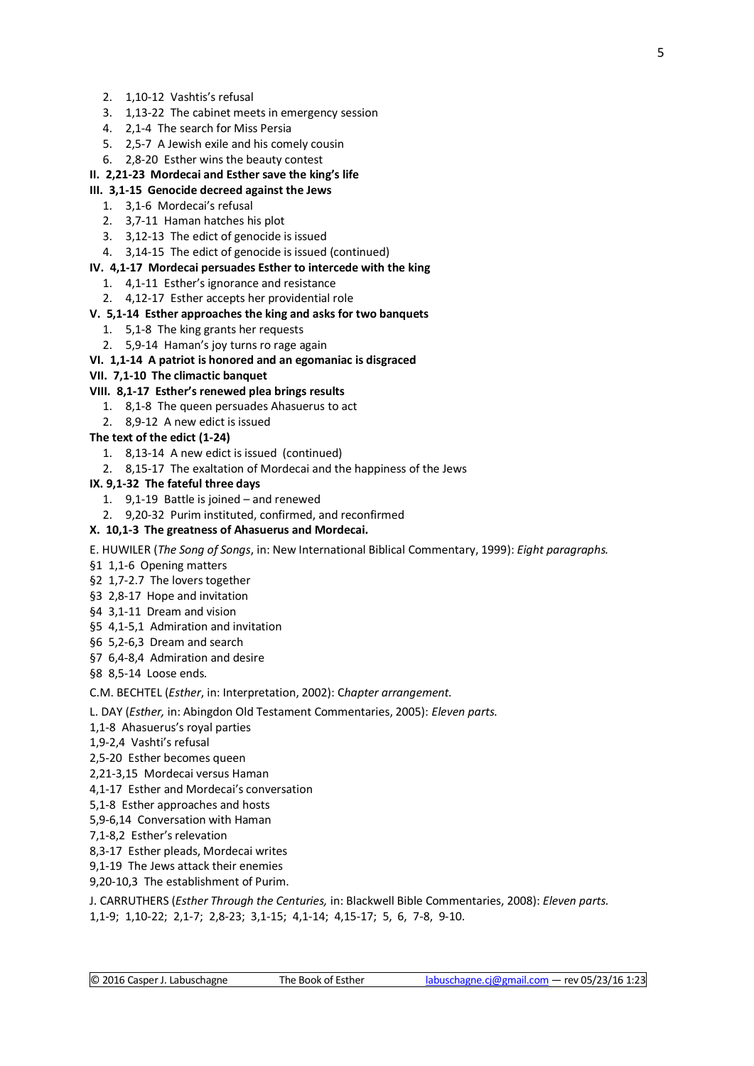- 3. 1,13-22 The cabinet meets in emergency session
- 4. 2,1-4 The search for Miss Persia
- 5. 2,5-7 A Jewish exile and his comely cousin
- 6. 2,8-20 Esther wins the beauty contest

## **II. 2,21-23 Mordecai and Esther save the king's life**

## **III. 3,1-15 Genocide decreed against the Jews**

- 1. 3,1-6 Mordecai's refusal
- 2. 3,7-11 Haman hatches his plot
- 3. 3,12-13 The edict of genocide is issued
- 4. 3,14-15 The edict of genocide is issued (continued)

### **IV. 4,1-17 Mordecai persuades Esther to intercede with the king**

- 1. 4,1-11 Esther's ignorance and resistance
- 2. 4,12-17 Esther accepts her providential role

## **V. 5,1-14 Esther approaches the king and asks for two banquets**

- 1. 5,1-8 The king grants her requests
- 2. 5,9-14 Haman's joy turns ro rage again
- **VI. 1,1-14 A patriot is honored and an egomaniac is disgraced**

## **VII. 7,1-10 The climactic banquet**

## **VIII. 8,1-17 Esther's renewed plea brings results**

- 1. 8,1-8 The queen persuades Ahasuerus to act
- 2. 8,9-12 A new edict is issued

## **The text of the edict (1-24)**

- 1. 8,13-14 A new edict is issued (continued)
- 2. 8,15-17 The exaltation of Mordecai and the happiness of the Jews

## **IX. 9,1-32 The fateful three days**

- 1. 9,1-19 Battle is joined and renewed
- 2. 9,20-32 Purim instituted, confirmed, and reconfirmed

## **X. 10,1-3 The greatness of Ahasuerus and Mordecai.**

- E. HUWILER (*The Song of Songs*, in: New International Biblical Commentary, 1999): *Eight paragraphs.*
- §1 1,1-6 Opening matters
- §2 1,7-2.7 The lovers together
- §3 2,8-17 Hope and invitation
- §4 3,1-11 Dream and vision
- §5 4,1-5,1 Admiration and invitation
- §6 5,2-6,3 Dream and search
- §7 6,4-8,4 Admiration and desire

§8 8,5-14 Loose ends.

C.M. BECHTEL (*Esther*, in: Interpretation, 2002): C*hapter arrangement.*

L. DAY (*Esther,* in: Abingdon Old Testament Commentaries, 2005): *Eleven parts.*

- 1,1-8 Ahasuerus's royal parties
- 1,9-2,4 Vashti's refusal
- 2,5-20 Esther becomes queen
- 2,21-3,15 Mordecai versus Haman
- 4,1-17 Esther and Mordecai's conversation
- 5,1-8 Esther approaches and hosts
- 5,9-6,14 Conversation with Haman
- 7,1-8,2 Esther's relevation
- 8,3-17 Esther pleads, Mordecai writes
- 9,1-19 The Jews attack their enemies
- 9,20-10,3 The establishment of Purim.

J. CARRUTHERS (*Esther Through the Centuries,* in: Blackwell Bible Commentaries, 2008): *Eleven parts.* 1,1-9; 1,10-22; 2,1-7; 2,8-23; 3,1-15; 4,1-14; 4,15-17; 5, 6, 7-8, 9-10.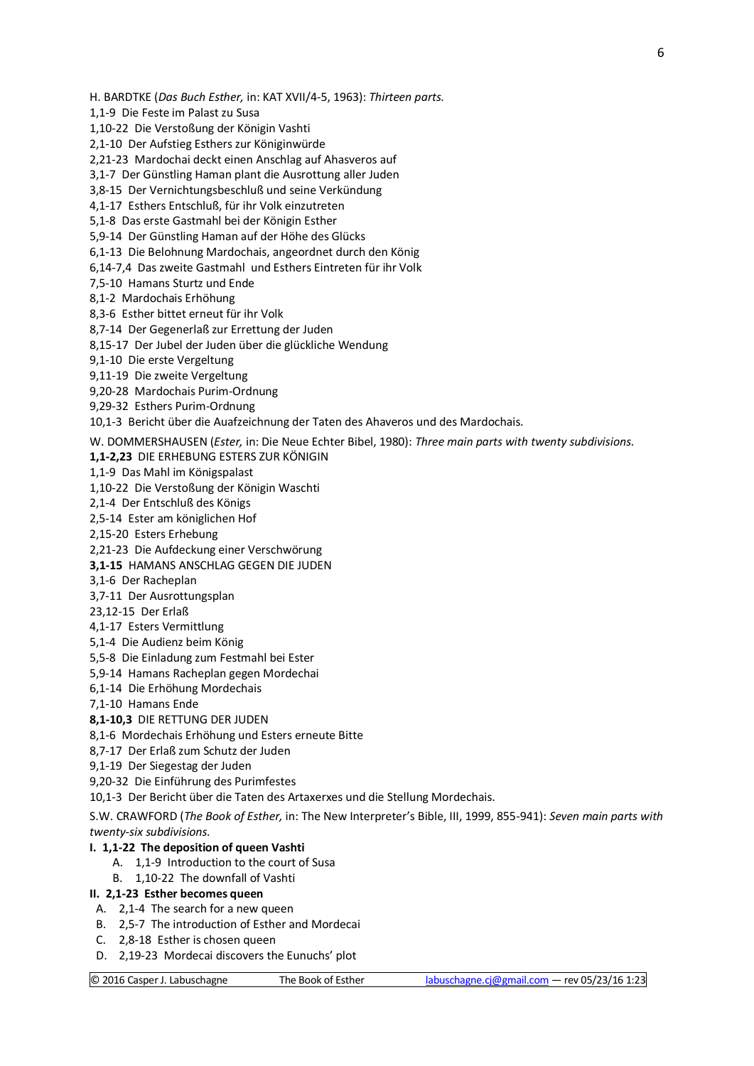H. BARDTKE (*Das Buch Esther,* in: KAT XVII/4-5, 1963): *Thirteen parts.*

1,1-9 Die Feste im Palast zu Susa

1,10-22 Die Verstoßung der Königin Vashti

2,1-10 Der Aufstieg Esthers zur Königinwürde

2,21-23 Mardochai deckt einen Anschlag auf Ahasveros auf

3,1-7 Der Günstling Haman plant die Ausrottung aller Juden

3,8-15 Der Vernichtungsbeschluß und seine Verkündung

4,1-17 Esthers Entschluß, für ihr Volk einzutreten

5,1-8 Das erste Gastmahl bei der Königin Esther

5,9-14 Der Günstling Haman auf der Höhe des Glücks

6,1-13 Die Belohnung Mardochais, angeordnet durch den König

6,14-7,4 Das zweite Gastmahl und Esthers Eintreten für ihr Volk

7,5-10 Hamans Sturtz und Ende

8,1-2 Mardochais Erhöhung

8,3-6 Esther bittet erneut für ihr Volk

8,7-14 Der Gegenerlaß zur Errettung der Juden

8,15-17 Der Jubel der Juden über die glückliche Wendung

9,1-10 Die erste Vergeltung

9,11-19 Die zweite Vergeltung

9,20-28 Mardochais Purim-Ordnung

9,29-32 Esthers Purim-Ordnung

10,1-3 Bericht über die Auafzeichnung der Taten des Ahaveros und des Mardochais.

W. DOMMERSHAUSEN (*Ester,* in: Die Neue Echter Bibel, 1980): *Three main parts with twenty subdivisions.*

**1,1-2,23** DIE ERHEBUNG ESTERS ZUR KÖNIGIN

1,1-9 Das Mahl im Königspalast

1,10-22 Die Verstoßung der Königin Waschti

2,1-4 Der Entschluß des Königs

2,5-14 Ester am königlichen Hof

2,15-20 Esters Erhebung

2,21-23 Die Aufdeckung einer Verschwörung

**3,1-15** HAMANS ANSCHLAG GEGEN DIE JUDEN

3,1-6 Der Racheplan

3,7-11 Der Ausrottungsplan

23,12-15 Der Erlaß

4,1-17 Esters Vermittlung

5,1-4 Die Audienz beim König

5,5-8 Die Einladung zum Festmahl bei Ester

5,9-14 Hamans Racheplan gegen Mordechai

6,1-14 Die Erhöhung Mordechais

7,1-10 Hamans Ende

**8,1-10,3** DIE RETTUNG DER JUDEN

8,1-6 Mordechais Erhöhung und Esters erneute Bitte

8,7-17 Der Erlaß zum Schutz der Juden

9,1-19 Der Siegestag der Juden

9,20-32 Die Einführung des Purimfestes

10,1-3 Der Bericht über die Taten des Artaxerxes und die Stellung Mordechais.

S.W. CRAWFORD (*The Book of Esther,* in: The New Interpreter's Bible, III, 1999, 855-941): *Seven main parts with twenty-six subdivisions.*

#### **I. 1,1-22 The deposition of queen Vashti**

- A. 1,1-9 Introduction to the court of Susa
- B. 1,10-22 The downfall of Vashti

#### **II. 2,1-23 Esther becomes queen**

- A. 2,1-4 The search for a new queen
- B. 2,5-7 The introduction of Esther and Mordecai
- C. 2,8-18 Esther is chosen queen
- D. 2,19-23 Mordecai discovers the Eunuchs' plot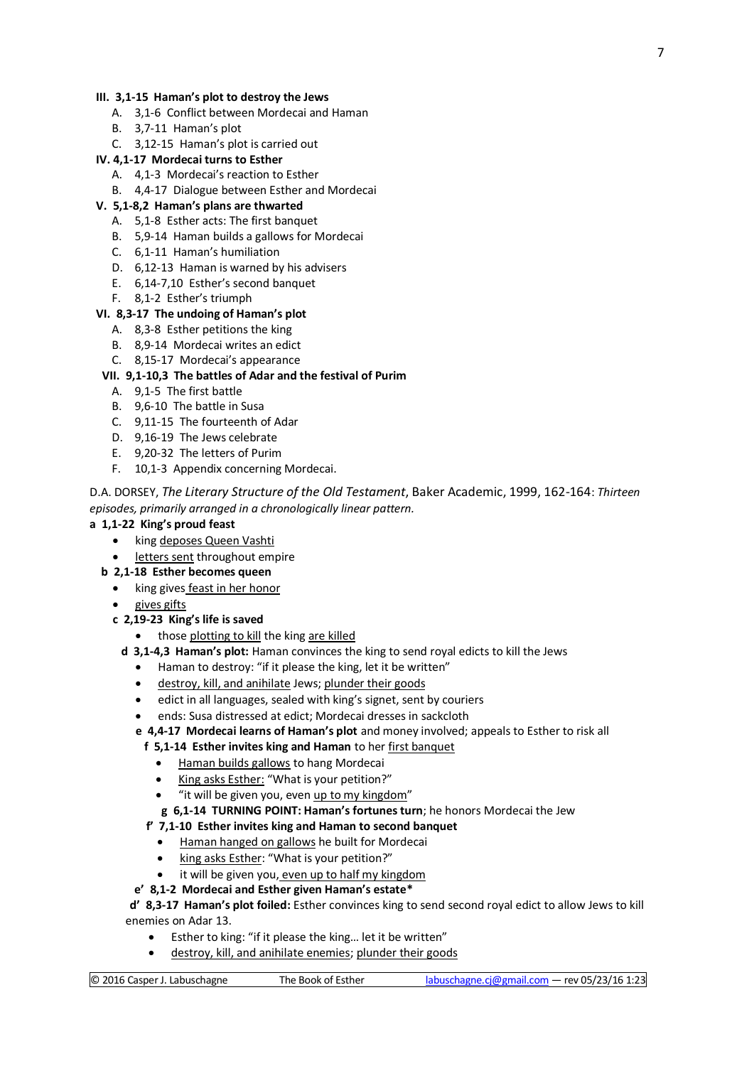#### **III. 3,1-15 Haman's plot to destroy the Jews**

- A. 3,1-6 Conflict between Mordecai and Haman
- B. 3,7-11 Haman's plot
- C. 3,12-15 Haman's plot is carried out

#### **IV. 4,1-17 Mordecai turns to Esther**

- A. 4,1-3 Mordecai's reaction to Esther
- B. 4,4-17 Dialogue between Esther and Mordecai

#### **V. 5,1-8,2 Haman's plans are thwarted**

- A. 5,1-8 Esther acts: The first banquet
- B. 5,9-14 Haman builds a gallows for Mordecai
- C. 6,1-11 Haman's humiliation
- D. 6,12-13 Haman is warned by his advisers
- E. 6,14-7,10 Esther's second banquet
- F. 8,1-2 Esther's triumph

#### **VI. 8,3-17 The undoing of Haman's plot**

- A. 8,3-8 Esther petitions the king
- B. 8,9-14 Mordecai writes an edict
- C. 8,15-17 Mordecai's appearance

#### **VII. 9,1-10,3 The battles of Adar and the festival of Purim**

- A. 9,1-5 The first battle
- B. 9,6-10 The battle in Susa
- C. 9,11-15 The fourteenth of Adar
- D. 9,16-19 The Jews celebrate
- E. 9,20-32 The letters of Purim
- F. 10,1-3 Appendix concerning Mordecai.

## D.A. DORSEY, *The Literary Structure of the Old Testament*, Baker Academic, 1999, 162-164: *Thirteen episodes, primarily arranged in a chronologically linear pattern.*

#### **a 1,1-22 King's proud feast**

- king deposes Queen Vashti
- letters sent throughout empire
- **b 2,1-18 Esther becomes queen**
	- king gives feast in her honor
	- gives gifts
	- **c 2,19-23 King's life is saved**
		- those plotting to kill the king are killed
		- **d 3,1-4,3 Haman's plot:** Haman convinces the king to send royal edicts to kill the Jews
			- Haman to destroy: "if it please the king, let it be written"
			- destroy, kill, and anihilate Jews; plunder their goods
			- edict in all languages, sealed with king's signet, sent by couriers
			- ends: Susa distressed at edict; Mordecai dresses in sackcloth
			- **e 4,4-17 Mordecai learns of Haman's plot** and money involved; appeals to Esther to risk all

## **f 5,1-14 Esther invites king and Haman** to her first banquet

- Haman builds gallows to hang Mordecai
- King asks Esther: "What is your petition?"
- "it will be given you, even up to my kingdom"
- **g 6,1-14 TURNING POINT: Haman's fortunes turn**; he honors Mordecai the Jew

## **f' 7,1-10 Esther invites king and Haman to second banquet**

- Haman hanged on gallows he built for Mordecai
- king asks Esther: "What is your petition?"
- it will be given you, even up to half my kingdom

#### **e' 8,1-2 Mordecai and Esther given Haman's estate\***

 **d' 8,3-17 Haman's plot foiled:** Esther convinces king to send second royal edict to allow Jews to kill enemies on Adar 13.

- Esther to king: "if it please the king… let it be written"
- destroy, kill, and anihilate enemies; plunder their goods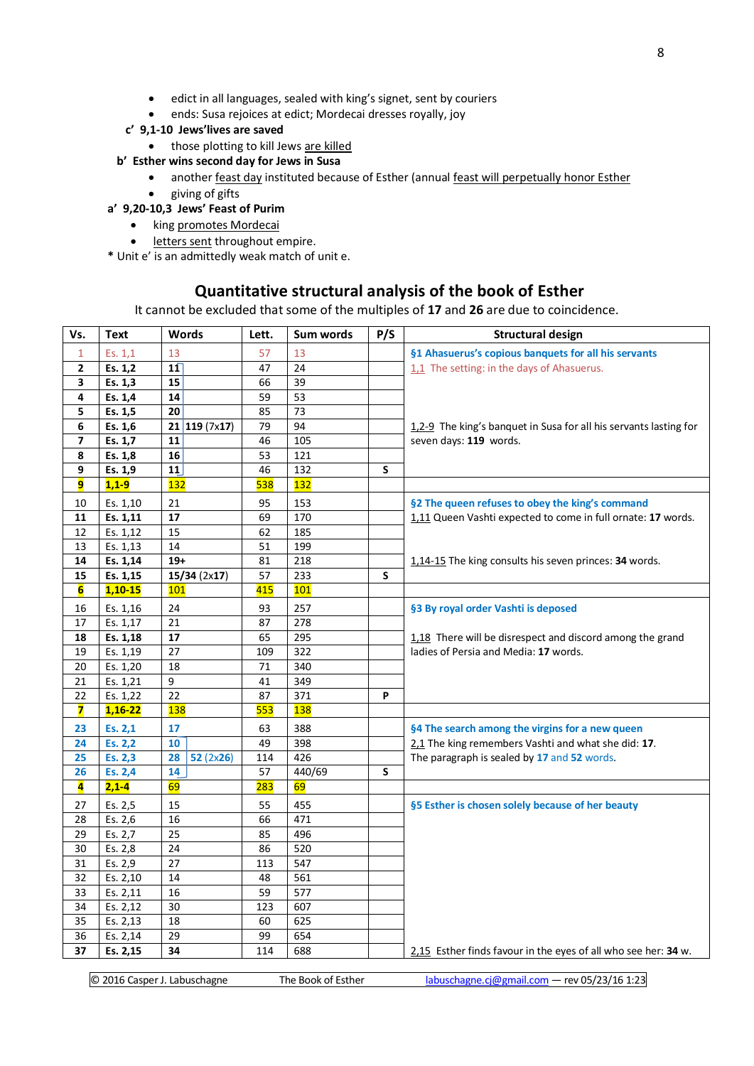- edict in all languages, sealed with king's signet, sent by couriers
- ends: Susa rejoices at edict; Mordecai dresses royally, joy
- **c' 9,1-10 Jews'lives are saved**
	- those plotting to kill Jews are killed

## **b' Esther wins second day for Jews in Susa**

- another feast day instituted because of Esther (annual feast will perpetually honor Esther
- giving of gifts

## **a' 9,20-10,3 Jews' Feast of Purim**

- king promotes Mordecai
- **.** letters sent throughout empire.

**\*** Unit e' is an admittedly weak match of unit e.

## **Quantitative structural analysis of the book of Esther**

It cannot be excluded that some of the multiples of **17** and **26** are due to coincidence.

| Vs.          | <b>Text</b>            | <b>Words</b>                 | Lett. | Sum words  | P/S | <b>Structural design</b>                                          |
|--------------|------------------------|------------------------------|-------|------------|-----|-------------------------------------------------------------------|
| 1            | Es. 1,1                | 13                           | 57    | 13         |     | §1 Ahasuerus's copious banquets for all his servants              |
| $\mathbf{2}$ | Es. 1,2                | 11                           | 47    | 24         |     | 1.1 The setting: in the days of Ahasuerus.                        |
| 3            | Es. 1,3                | 15                           | 66    | 39         |     |                                                                   |
| 4            | Es. 1,4                | 14                           | 59    | 53         |     |                                                                   |
| 5            | Es. 1,5                | 20                           | 85    | 73         |     |                                                                   |
| 6            | Es. 1,6                | $\overline{21}$   119 (7x17) | 79    | 94         |     | 1,2-9 The king's banquet in Susa for all his servants lasting for |
| 7            | Es. 1,7                | 11                           | 46    | 105        |     | seven days: 119 words.                                            |
| 8            | Es. 1,8                | 16                           | 53    | 121        |     |                                                                   |
| 9            | Es. 1,9                | 11                           | 46    | 132        | S   |                                                                   |
| 9            | $1,1-9$                | 132                          | 538   | 132        |     |                                                                   |
| 10           | Es. 1,10               | 21                           | 95    | 153        |     | §2 The queen refuses to obey the king's command                   |
| 11           | Es. 1,11               | 17                           | 69    | 170        |     | 1,11 Queen Vashti expected to come in full ornate: 17 words.      |
| 12           | Es. 1,12               | 15                           | 62    | 185        |     |                                                                   |
| 13           | Es. 1,13               | 14                           | 51    | 199        |     |                                                                   |
| 14           | Es. 1,14               | $19+$                        | 81    | 218        |     | 1,14-15 The king consults his seven princes: 34 words.            |
| 15           | Es. 1,15               | 15/34(2x17)                  | 57    | 233        | S   |                                                                   |
| 6            | $1,10-15$              | 101                          | 415   | 101        |     |                                                                   |
| 16           | Es. 1,16               | 24                           | 93    | 257        |     | §3 By royal order Vashti is deposed                               |
| 17           | Es. 1,17               | 21                           | 87    | 278        |     |                                                                   |
| 18           | Es. 1,18               | 17                           | 65    | 295        |     | 1,18 There will be disrespect and discord among the grand         |
| 19           | Es. 1,19               | 27                           | 109   | 322        |     | ladies of Persia and Media: 17 words.                             |
| 20           | Es. 1,20               | 18                           | 71    | 340        |     |                                                                   |
| 21           | Es. 1,21               | 9                            | 41    | 349        |     |                                                                   |
| 22           | Es. 1,22               | 22                           | 87    | 371        | P   |                                                                   |
| 7            | $1,16-22$              | <b>138</b>                   | 553   | <b>138</b> |     |                                                                   |
| 23           | Es. 2,1                | 17                           | 63    | 388        |     | §4 The search among the virgins for a new queen                   |
| 24           | Es. 2,2                | 10                           | 49    | 398        |     | 2.1 The king remembers Vashti and what she did: 17.               |
| 25           | Es. 2,3                | 28<br>52(2x26)               | 114   | 426        |     | The paragraph is sealed by 17 and 52 words.                       |
| 26           | Es. 2,4                | 14                           | 57    | 440/69     | S   |                                                                   |
| 4            | $2,1-4$                | 69                           | 283   | 69         |     |                                                                   |
| 27           | Es. 2,5                | 15                           | 55    | 455        |     | §5 Esther is chosen solely because of her beauty                  |
| 28           | Es. 2,6                | $\overline{16}$              | 66    | 471        |     |                                                                   |
| 29           | Es. 2,7                | 25                           | 85    | 496        |     |                                                                   |
| 30           | Es. 2,8                | 24                           | 86    | 520        |     |                                                                   |
| 31           | Es. 2,9                | 27                           | 113   | 547        |     |                                                                   |
| 32           | Es. 2,10               | $\overline{14}$              | 48    | 561        |     |                                                                   |
| 33           | Es. 2,11               | 16                           | 59    | 577        |     |                                                                   |
| 34           | Es. 2,12               | 30                           | 123   | 607        |     |                                                                   |
| 35           | Es. 2,13               | 18                           | 60    | 625        |     |                                                                   |
| 36           | $\overline{E}$ s. 2,14 | 29                           | 99    | 654        |     |                                                                   |
| 37           | Es. 2,15               | 34                           | 114   | 688        |     | 2,15 Esther finds favour in the eyes of all who see her: 34 w.    |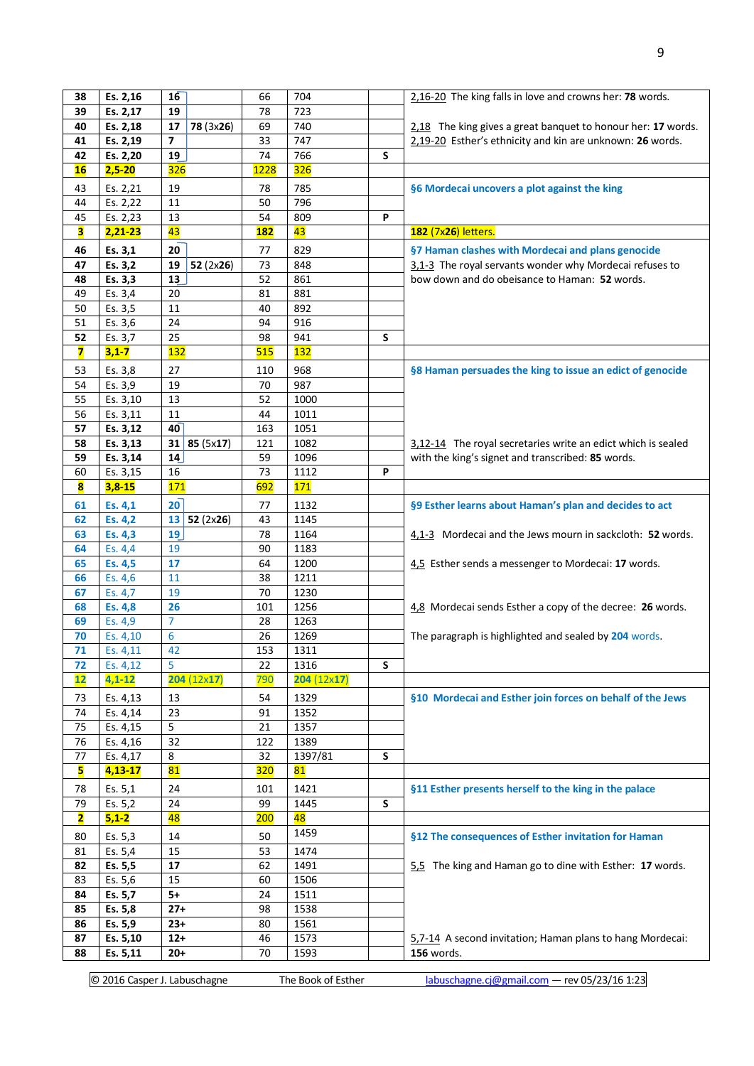| 38                      | Es. 2,16   | 16                       | 66         | 704               |   | 2,16-20 The king falls in love and crowns her: 78 words.     |
|-------------------------|------------|--------------------------|------------|-------------------|---|--------------------------------------------------------------|
| 39                      | Es. 2,17   | 19                       | 78         | 723               |   |                                                              |
| 40                      | Es. 2,18   | 17<br>78 (3x26)          | 69         | 740               |   | 2.18 The king gives a great banquet to honour her: 17 words. |
| 41                      | Es. 2,19   | $\overline{\phantom{a}}$ | 33         | 747               |   | 2,19-20 Esther's ethnicity and kin are unknown: 26 words.    |
| 42                      | Es. 2,20   | 19                       | 74         | 766               | S |                                                              |
| <b>16</b>               | $2,5 - 20$ | <b>326</b>               | 1228       | 326               |   |                                                              |
| 43                      | Es. 2,21   | 19                       | 78         | 785               |   | §6 Mordecai uncovers a plot against the king                 |
| 44                      | Es. 2,22   | 11                       | 50         | 796               |   |                                                              |
| 45                      | Es. 2,23   | 13                       | 54         | 809               | P |                                                              |
| в                       | $2,21-23$  | 43                       | <b>182</b> | 43                |   | 182 (7x26) letters.                                          |
|                         |            |                          |            |                   |   |                                                              |
| 46                      | Es. 3,1    | 20                       | 77         | 829               |   | §7 Haman clashes with Mordecai and plans genocide            |
| 47                      | Es. 3,2    | 19<br>52 $(2x26)$        | 73         | 848               |   | 3,1-3 The royal servants wonder why Mordecai refuses to      |
| 48                      | Es. 3,3    | 13                       | 52         | 861               |   | bow down and do obeisance to Haman: 52 words.                |
| 49                      | Es. 3,4    | 20                       | 81         | 881               |   |                                                              |
| 50                      | Es. 3,5    | 11                       | 40         | 892               |   |                                                              |
| 51                      | Es. 3,6    | 24                       | 94         | 916               |   |                                                              |
| 52                      | Es. 3,7    | 25                       | 98         | 941               | S |                                                              |
| $\overline{\mathbf{z}}$ | $3,1 - 7$  | <b>132</b>               | 515        | 132               |   |                                                              |
| 53                      | Es. 3,8    | 27                       | 110        | 968               |   | §8 Haman persuades the king to issue an edict of genocide    |
| 54                      | Es. 3,9    | 19                       | 70         | 987               |   |                                                              |
| 55                      | Es. 3,10   | 13                       | 52         | 1000              |   |                                                              |
| 56                      | Es. 3,11   | 11                       | 44         | 1011              |   |                                                              |
| 57                      | Es. 3,12   | 40                       | 163        | 1051              |   |                                                              |
| 58                      | Es. 3,13   | 31   85 (5x17)           | 121        | 1082              |   | 3,12-14 The royal secretaries write an edict which is sealed |
| 59                      | Es. 3,14   | 14                       | 59         | 1096              |   | with the king's signet and transcribed: 85 words.            |
| 60                      | Es. 3,15   | 16                       | 73         | 1112              | P |                                                              |
| $\overline{\mathbf{8}}$ | $3,8-15$   | 171                      | 692        | 171               |   |                                                              |
| 61                      | Es. 4,1    | $20^{-}$                 | 77         | 1132              |   | §9 Esther learns about Haman's plan and decides to act       |
| 62                      | Es. 4,2    | 13<br>52(2x26)           | 43         | 1145              |   |                                                              |
| 63                      | Es. 4,3    | 19                       | 78         | 1164              |   | 4,1-3 Mordecai and the Jews mourn in sackcloth: 52 words.    |
| 64                      | Es. 4,4    | 19                       | 90         | 1183              |   |                                                              |
| 65                      | Es. 4,5    | 17                       | 64         | 1200              |   | 4.5 Esther sends a messenger to Mordecai: 17 words.          |
| 66                      | Es. 4,6    | 11                       | 38         | 1211              |   |                                                              |
| 67                      | Es. 4,7    | 19                       | 70         | 1230              |   |                                                              |
| 68                      | Es. 4,8    | 26                       | 101        | 1256              |   | 4,8 Mordecai sends Esther a copy of the decree: 26 words.    |
| 69                      | Es. 4,9    | 7                        | 28         | 1263              |   |                                                              |
| 70                      | Es. 4,10   | 6                        | 26         | 1269              |   | The paragraph is highlighted and sealed by 204 words.        |
| 71                      | Es. 4,11   | 42                       | 153        | 1311              |   |                                                              |
| 72                      | Es. 4,12   | 5                        | 22         | 1316              | S |                                                              |
| 12                      | $4,1 - 12$ | 204(12x17)               | 790        | $204(12\times17)$ |   |                                                              |
| 73                      | Es. 4,13   | 13                       | 54         | 1329              |   | §10 Mordecai and Esther join forces on behalf of the Jews    |
| 74                      | Es. 4,14   | 23                       | 91         | 1352              |   |                                                              |
| 75                      | Es. 4,15   | 5                        | 21         | 1357              |   |                                                              |
| 76                      | Es. 4,16   | 32                       | 122        | 1389              |   |                                                              |
| $77 \,$                 | Es. 4,17   | 8                        | 32         | 1397/81           | S |                                                              |
| 5                       | $4,13-17$  | 81                       | <b>320</b> | 81                |   |                                                              |
| 78                      | Es. 5,1    | 24                       | 101        | 1421              |   | §11 Esther presents herself to the king in the palace        |
| 79                      | Es. 5,2    | 24                       | 99         | 1445              | S |                                                              |
| $\overline{\mathbf{2}}$ | $5,1-2$    | 48                       | 200        | 48                |   |                                                              |
| 80                      | Es. 5,3    | 14                       | 50         | 1459              |   | §12 The consequences of Esther invitation for Haman          |
| 81                      | Es. 5,4    | 15                       | 53         | 1474              |   |                                                              |
| 82                      | Es. 5,5    | 17                       | 62         | 1491              |   | 5.5 The king and Haman go to dine with Esther: 17 words.     |
| 83                      | Es. 5,6    | 15                       | 60         | 1506              |   |                                                              |
| 84                      | Es. 5,7    | $5+$                     | 24         | 1511              |   |                                                              |
| 85                      | Es. 5,8    | $27+$                    | 98         | 1538              |   |                                                              |
| 86                      | Es. 5,9    | $23+$                    | 80         | 1561              |   |                                                              |
| 87                      | Es. 5,10   | $12+$                    | 46         | 1573              |   | 5,7-14 A second invitation; Haman plans to hang Mordecai:    |
| 88                      | Es. 5,11   | $20+$                    | 70         | 1593              |   | 156 words.                                                   |
|                         |            |                          |            |                   |   |                                                              |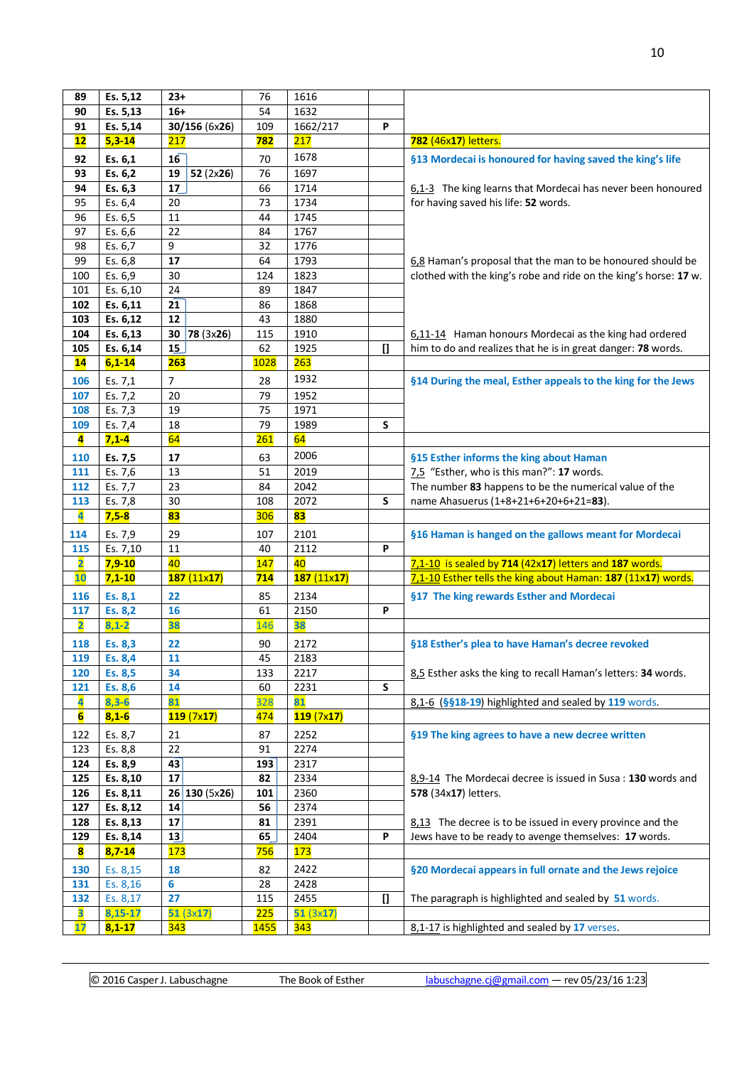| 89                      | Es. 5,12   | $23+$           | 76          | 1616       |              |                                                                  |
|-------------------------|------------|-----------------|-------------|------------|--------------|------------------------------------------------------------------|
| 90                      | Es. 5,13   | $16+$           | 54          | 1632       |              |                                                                  |
| 91                      | Es. 5,14   | 30/156 (6x26)   | 109         | 1662/217   | P            |                                                                  |
| 12                      | $5,3-14$   | 217             | 782         | 217        |              | 782 (46x17) letters.                                             |
| 92                      | Es. 6,1    | 16              | 70          | 1678       |              | §13 Mordecai is honoured for having saved the king's life        |
| 93                      | Es. 6,2    | 52 (2x26)<br>19 | 76          | 1697       |              |                                                                  |
| 94                      | Es. 6,3    | 17              | 66          | 1714       |              | 6,1-3 The king learns that Mordecai has never been honoured      |
| 95                      | Es. 6,4    | 20              | 73          | 1734       |              | for having saved his life: 52 words.                             |
| 96                      | Es. 6,5    | 11              | 44          | 1745       |              |                                                                  |
| 97                      | Es. 6,6    | 22              | 84          | 1767       |              |                                                                  |
| 98                      | Es. 6,7    | 9               | 32          | 1776       |              |                                                                  |
| 99                      | Es. 6,8    | 17              | 64          | 1793       |              | 6.8 Haman's proposal that the man to be honoured should be       |
| 100                     | Es. 6,9    | 30              | 124         | 1823       |              | clothed with the king's robe and ride on the king's horse: 17 w. |
| 101                     | Es. 6,10   | 24              | 89          | 1847       |              |                                                                  |
| 102                     | Es. 6,11   | 21              | 86          | 1868       |              |                                                                  |
| 103                     | Es. 6,12   | 12              | 43          | 1880       |              |                                                                  |
| 104                     | Es. 6,13   | 30<br>78 (3x26) | 115         | 1910       |              | 6,11-14 Haman honours Mordecai as the king had ordered           |
| 105                     | Es. 6,14   | 15              | 62          | 1925       | $\mathbf{I}$ | him to do and realizes that he is in great danger: 78 words.     |
| 14                      | $6,1-14$   | <b>263</b>      | 1028        | 263        |              |                                                                  |
| 106                     | Es. 7,1    | $\overline{7}$  | 28          | 1932       |              | §14 During the meal, Esther appeals to the king for the Jews     |
| 107                     | Es. 7,2    | 20              | 79          | 1952       |              |                                                                  |
| 108                     | Es. 7,3    | 19              | 75          | 1971       |              |                                                                  |
| 109                     | Es. 7,4    | 18              | 79          | 1989       | S            |                                                                  |
| 4                       | $7,1 - 4$  | 64              | 261         | 64         |              |                                                                  |
| 110                     | Es. 7,5    | 17              | 63          | 2006       |              | §15 Esther informs the king about Haman                          |
| 111                     | Es. 7,6    | 13              | 51          | 2019       |              | 7.5 "Esther, who is this man?": 17 words.                        |
| 112                     | Es. 7,7    | 23              | 84          | 2042       |              | The number 83 happens to be the numerical value of the           |
| 113                     | Es. 7,8    | 30              | 108         | 2072       | S            | name Ahasuerus (1+8+21+6+20+6+21=83).                            |
| 4                       | $7,5-8$    | 83              | 306         | 83         |              |                                                                  |
| 114                     | Es. 7,9    | 29              | 107         | 2101       |              | §16 Haman is hanged on the gallows meant for Mordecai            |
| 115                     | Es. 7,10   | 11              | 40          | 2112       | P            |                                                                  |
| $\overline{\mathbf{2}}$ | $7,9-10$   | 40              | 147         | 40         |              | 7,1-10 is sealed by 714 (42x17) letters and 187 words.           |
| 10                      | $7,1-10$   | 187(11x17)      | 714         | 187(11x17) |              | 7,1-10 Esther tells the king about Haman: 187 (11x17) words.     |
| 116                     | Es. 8,1    | 22              | 85          | 2134       |              | §17 The king rewards Esther and Mordecai                         |
| 117                     | Es. 8,2    | 16              | 61          | 2150       | P            |                                                                  |
| $\overline{\mathbf{2}}$ | $8,1 - 2$  | 38              | 146         | 38         |              |                                                                  |
| 118                     | Es. 8,3    | 22              | 90          | 2172       |              | §18 Esther's plea to have Haman's decree revoked                 |
| 119                     | Es. 8,4    | 11              | 45          | 2183       |              |                                                                  |
| 120                     | Es. 8,5    | 34              | 133         | 2217       |              | 8.5 Esther asks the king to recall Haman's letters: 34 words.    |
| 121                     | Es. 8,6    | 14              | 60          | 2231       | S            |                                                                  |
| 4                       | $8,3-6$    | 81              | 328         | 81         |              | 8,1-6 (§§18-19) highlighted and sealed by 119 words.             |
| $6\overline{6}$         | $8,1-6$    | 119(7x17)       | 474         | 119(7x17)  |              |                                                                  |
| 122                     | Es. 8,7    | 21              | 87          | 2252       |              | §19 The king agrees to have a new decree written                 |
| 123                     | Es. 8,8    | 22              | 91          | 2274       |              |                                                                  |
| 124                     | Es. 8,9    | 43              | 193         | 2317       |              |                                                                  |
| 125                     | Es. 8,10   | 17              | 82          | 2334       |              | 8,9-14 The Mordecai decree is issued in Susa: 130 words and      |
| 126                     | Es. 8,11   | 26 130(5x26)    | 101         | 2360       |              | 578 (34x17) letters.                                             |
| 127                     | Es. 8,12   | 14              | 56          | 2374       |              |                                                                  |
| 128                     | Es. 8,13   | 17              | 81          | 2391       |              | 8,13 The decree is to be issued in every province and the        |
| 129                     | Es. 8,14   | 13              | 65          | 2404       | P            | Jews have to be ready to avenge themselves: 17 words.            |
| 8                       | $8,7-14$   | <b>173</b>      | 756         | 173        |              |                                                                  |
| 130                     | Es. 8,15   | 18              | 82          | 2422       |              | §20 Mordecai appears in full ornate and the Jews rejoice         |
| 131                     | Es. 8,16   | 6               | 28          | 2428       |              |                                                                  |
| 132                     | Es. 8,17   | 27              | 115         | 2455       | $\mathbf{I}$ | The paragraph is highlighted and sealed by 51 words.             |
| $\overline{\mathbf{3}}$ | 8,15-17    | 51(3x17)        | 225         | 51(3x17)   |              |                                                                  |
| 17                      | $8,1 - 17$ | <b>343</b>      | <b>1455</b> | 343        |              | 8,1-17 is highlighted and sealed by 17 verses.                   |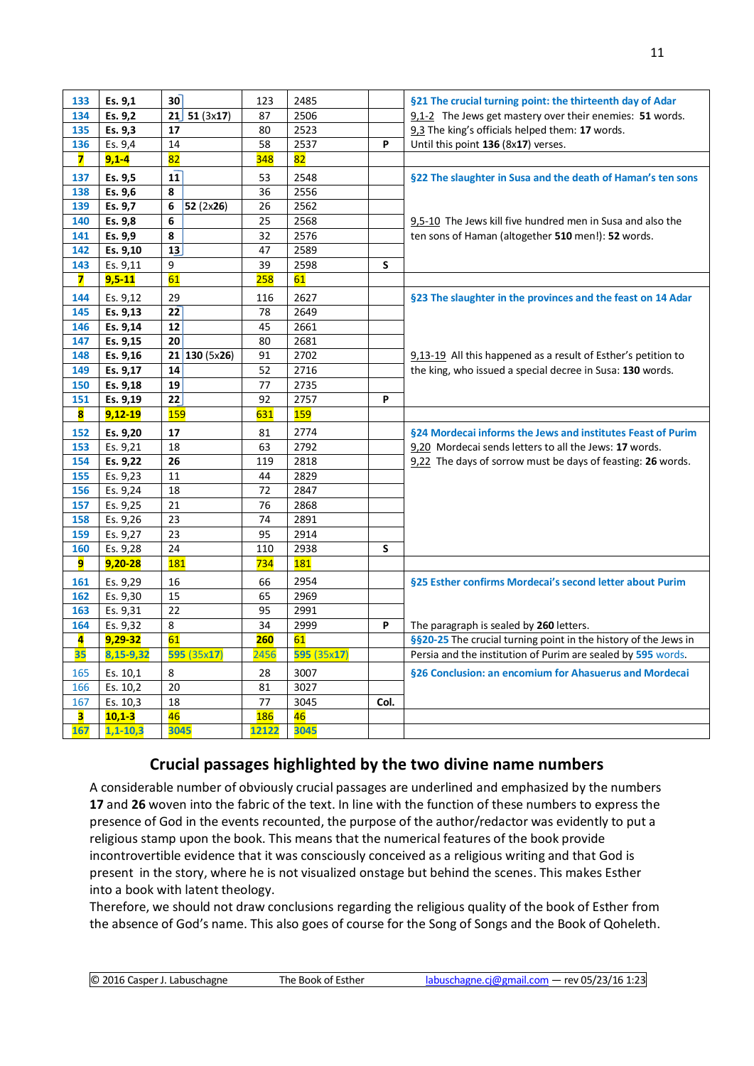| 133                     | Es. 9,1    | 30              | 123        | 2485        |      | §21 The crucial turning point: the thirteenth day of Adar       |  |  |  |
|-------------------------|------------|-----------------|------------|-------------|------|-----------------------------------------------------------------|--|--|--|
| 134                     | Es. 9,2    | 21<br>51(3x17)  | 87         | 2506        |      | 9.1-2 The Jews get mastery over their enemies: 51 words.        |  |  |  |
| 135                     | Es. 9,3    | 17              | 80         | 2523        |      | 9,3 The king's officials helped them: 17 words.                 |  |  |  |
| 136                     | Es. 9,4    | 14              | 58         | 2537        | P    | Until this point 136 (8x17) verses.                             |  |  |  |
| $\overline{\mathbf{z}}$ | $9,1 - 4$  | 82              | 348        | 82          |      |                                                                 |  |  |  |
| 137                     | Es. 9,5    | 11              | 53         | 2548        |      | §22 The slaughter in Susa and the death of Haman's ten sons     |  |  |  |
| 138                     | Es. 9,6    | 8               | 36         | 2556        |      |                                                                 |  |  |  |
| 139                     | Es. 9,7    | 6<br>52(2x26)   | 26         | 2562        |      |                                                                 |  |  |  |
| 140                     | Es. 9,8    | 6               | 25         | 2568        |      | 9,5-10 The Jews kill five hundred men in Susa and also the      |  |  |  |
| 141                     | Es. 9,9    | 8               | 32         | 2576        |      | ten sons of Haman (altogether 510 men!): 52 words.              |  |  |  |
| 142                     | Es. 9,10   | 13              | 47         | 2589        |      |                                                                 |  |  |  |
| 143                     | Es. 9,11   | 9               | 39         | 2598        | S    |                                                                 |  |  |  |
| $\overline{\mathbf{z}}$ | $9,5 - 11$ | 61              | <b>258</b> | 61          |      |                                                                 |  |  |  |
| 144                     | Es. 9,12   | 29              | 116        | 2627        |      | §23 The slaughter in the provinces and the feast on 14 Adar     |  |  |  |
| 145                     | Es. 9,13   | 22              | 78         | 2649        |      |                                                                 |  |  |  |
| 146                     | Es. 9,14   | 12              | 45         | 2661        |      |                                                                 |  |  |  |
| 147                     | Es. 9,15   | 20              | 80         | 2681        |      |                                                                 |  |  |  |
| 148                     | Es. 9,16   | 21   130 (5x26) | 91         | 2702        |      | $9.13-19$ All this happened as a result of Esther's petition to |  |  |  |
| 149                     | Es. 9,17   | 14              | 52         | 2716        |      | the king, who issued a special decree in Susa: 130 words.       |  |  |  |
| 150                     | Es. 9,18   | 19              | 77         | 2735        |      |                                                                 |  |  |  |
| 151                     | Es. 9,19   | 22              | 92         | 2757        | P    |                                                                 |  |  |  |
| $\overline{\mathbf{8}}$ | $9,12-19$  | <b>159</b>      | 631        | 159         |      |                                                                 |  |  |  |
| 152                     | Es. 9,20   | 17              | 81         | 2774        |      | §24 Mordecai informs the Jews and institutes Feast of Purim     |  |  |  |
|                         |            |                 |            |             |      |                                                                 |  |  |  |
| 153                     | Es. 9,21   | 18              | 63         | 2792        |      | 9,20 Mordecai sends letters to all the Jews: 17 words.          |  |  |  |
| 154                     | Es. 9,22   | 26              | 119        | 2818        |      | 9,22 The days of sorrow must be days of feasting: 26 words.     |  |  |  |
| 155                     | Es. 9,23   | 11              | 44         | 2829        |      |                                                                 |  |  |  |
| 156                     | Es. 9,24   | 18              | 72         | 2847        |      |                                                                 |  |  |  |
| 157                     | Es. 9,25   | 21              | 76         | 2868        |      |                                                                 |  |  |  |
| 158                     | Es. 9,26   | 23              | 74         | 2891        |      |                                                                 |  |  |  |
| 159                     | Es. 9,27   | 23              | 95         | 2914        |      |                                                                 |  |  |  |
| 160                     | Es. 9,28   | 24              | 110        | 2938        | S    |                                                                 |  |  |  |
| 9                       | 9,20-28    | 181             | 734        | 181         |      |                                                                 |  |  |  |
| 161                     | Es. 9,29   | 16              | 66         | 2954        |      | §25 Esther confirms Mordecai's second letter about Purim        |  |  |  |
| 162                     | Es. 9,30   | 15              | 65         | 2969        |      |                                                                 |  |  |  |
| 163                     | Es. 9,31   | 22              | 95         | 2991        |      |                                                                 |  |  |  |
| 164                     | Es. 9,32   | 8               | 34         | 2999        | P    | The paragraph is sealed by 260 letters.                         |  |  |  |
| 4                       | 9,29-32    | 61              | 260        | 61          |      | §§20-25 The crucial turning point in the history of the Jews in |  |  |  |
| 35                      | 8,15-9,32  | 595 (35x17)     | 2456       | 595 (35x17) |      | Persia and the institution of Purim are sealed by 595 words.    |  |  |  |
| 165                     | Es. 10,1   | 8               | 28         | 3007        |      | §26 Conclusion: an encomium for Ahasuerus and Mordecai          |  |  |  |
| 166                     | Es. 10,2   | 20              | 81         | 3027        |      |                                                                 |  |  |  |
| 167                     | Es. 10,3   | 18              | 77         | 3045        | Col. |                                                                 |  |  |  |
| 3                       | $10,1-3$   | 46              | 186        | 46          |      |                                                                 |  |  |  |

# **Crucial passages highlighted by the two divine name numbers**

A considerable number of obviously crucial passages are underlined and emphasized by the numbers and **26** woven into the fabric of the text. In line with the function of these numbers to express the presence of God in the events recounted, the purpose of the author/redactor was evidently to put a religious stamp upon the book. This means that the numerical features of the book provide incontrovertible evidence that it was consciously conceived as a religious writing and that God is present in the story, where he is not visualized onstage but behind the scenes. This makes Esther into a book with latent theology.

Therefore, we should not draw conclusions regarding the religious quality of the book of Esther from the absence of God's name. This also goes of course for the Song of Songs and the Book of Qoheleth.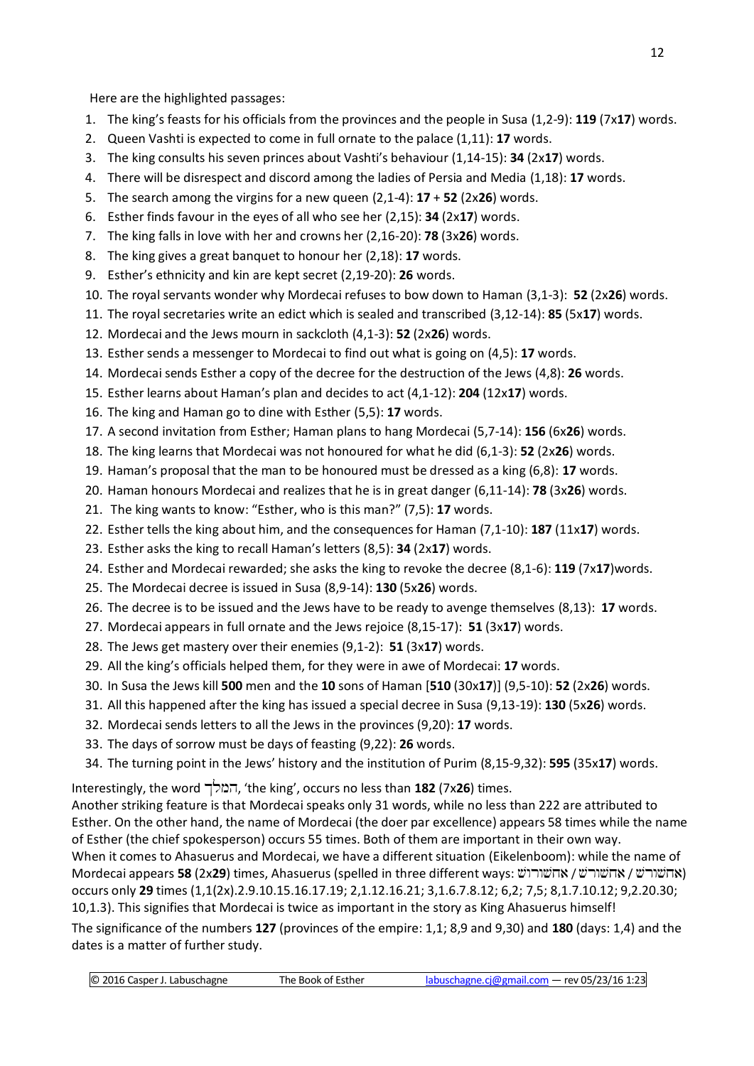Here are the highlighted passages:

- 1. The king's feasts for his officials from the provinces and the people in Susa (1,2-9): **119** (7x**17**) words.
- 2. Queen Vashti is expected to come in full ornate to the palace (1,11): **17** words.
- 3. The king consults his seven princes about Vashti's behaviour (1,14-15): **34** (2x**17**) words.
- 4. There will be disrespect and discord among the ladies of Persia and Media (1,18): **17** words.
- 5. The search among the virgins for a new queen (2,1-4): **17** + **52** (2x**26**) words.
- 6. Esther finds favour in the eyes of all who see her (2,15): **34** (2x**17**) words.
- 7. The king falls in love with her and crowns her (2,16-20): **78** (3x**26**) words.
- 8. The king gives a great banquet to honour her (2,18): **17** words.
- 9. Esther's ethnicity and kin are kept secret (2,19-20): **26** words.
- 10. The royal servants wonder why Mordecai refuses to bow down to Haman (3,1-3): **52** (2x**26**) words.
- 11. The royal secretaries write an edict which is sealed and transcribed (3,12-14): **85** (5x**17**) words.
- 12. Mordecai and the Jews mourn in sackcloth (4,1-3): **52** (2x**26**) words.
- 13. Esther sends a messenger to Mordecai to find out what is going on (4,5): **17** words.
- 14. Mordecai sends Esther a copy of the decree for the destruction of the Jews (4,8): **26** words.
- 15. Esther learns about Haman's plan and decides to act (4,1-12): **204** (12x**17**) words.
- 16. The king and Haman go to dine with Esther (5,5): **17** words.
- 17. A second invitation from Esther; Haman plans to hang Mordecai (5,7-14): **156** (6x**26**) words.
- 18. The king learns that Mordecai was not honoured for what he did (6,1-3): **52** (2x**26**) words.
- 19. Haman's proposal that the man to be honoured must be dressed as a king (6,8): **17** words.
- 20. Haman honours Mordecai and realizes that he is in great danger (6,11-14): **78** (3x**26**) words.
- 21. The king wants to know: "Esther, who is this man?" (7,5): **17** words.
- 22. Esther tells the king about him, and the consequences for Haman (7,1-10): **187** (11x**17**) words.
- 23. Esther asks the king to recall Haman's letters (8,5): **34** (2x**17**) words.
- 24. Esther and Mordecai rewarded; she asks the king to revoke the decree (8,1-6): **119** (7x**17**)words.
- 25. The Mordecai decree is issued in Susa (8,9-14): **130** (5x**26**) words.
- 26. The decree is to be issued and the Jews have to be ready to avenge themselves (8,13): **17** words.
- 27. Mordecai appears in full ornate and the Jews rejoice (8,15-17): **51** (3x**17**) words.
- 28. The Jews get mastery over their enemies (9,1-2): **51** (3x**17**) words.
- 29. All the king's officials helped them, for they were in awe of Mordecai: **17** words.
- 30. In Susa the Jews kill **500** men and the **10** sons of Haman [**510** (30x**17**)] (9,5-10): **52** (2x**26**) words.
- 31. All this happened after the king has issued a special decree in Susa (9,13-19): **130** (5x**26**) words.
- 32. Mordecai sends letters to all the Jews in the provinces (9,20): **17** words.
- 33. The days of sorrow must be days of feasting (9,22): **26** words.
- 34. The turning point in the Jews' history and the institution of Purim (8,15-9,32): **595** (35x**17**) words.

Interestingly, the word Klmh, 'the king', occurs no less than **182** (7x**26**) times.

Another striking feature is that Mordecai speaks only 31 words, while no less than 222 are attributed to Esther. On the other hand, the name of Mordecai (the doer par excellence) appears 58 times while the name of Esther (the chief spokesperson) occurs 55 times. Both of them are important in their own way. When it comes to Ahasuerus and Mordecai, we have a different situation (Eikelenboom): while the name of Mordecai appears **58** (2x**29**) times, Ahasuerus (spelled in three different ways: אהשורש / אחשורש / Sara <mark>Xrab</mark> occurs only **29** times (1,1(2x).2.9.10.15.16.17.19; 2,1.12.16.21; 3,1.6.7.8.12; 6,2; 7,5; 8,1.7.10.12; 9,2.20.30; 10,1.3). This signifies that Mordecai is twice as important in the story as King Ahasuerus himself! The significance of the numbers **127** (provinces of the empire: 1,1; 8,9 and 9,30) and **180** (days: 1,4) and the dates is a matter of further study.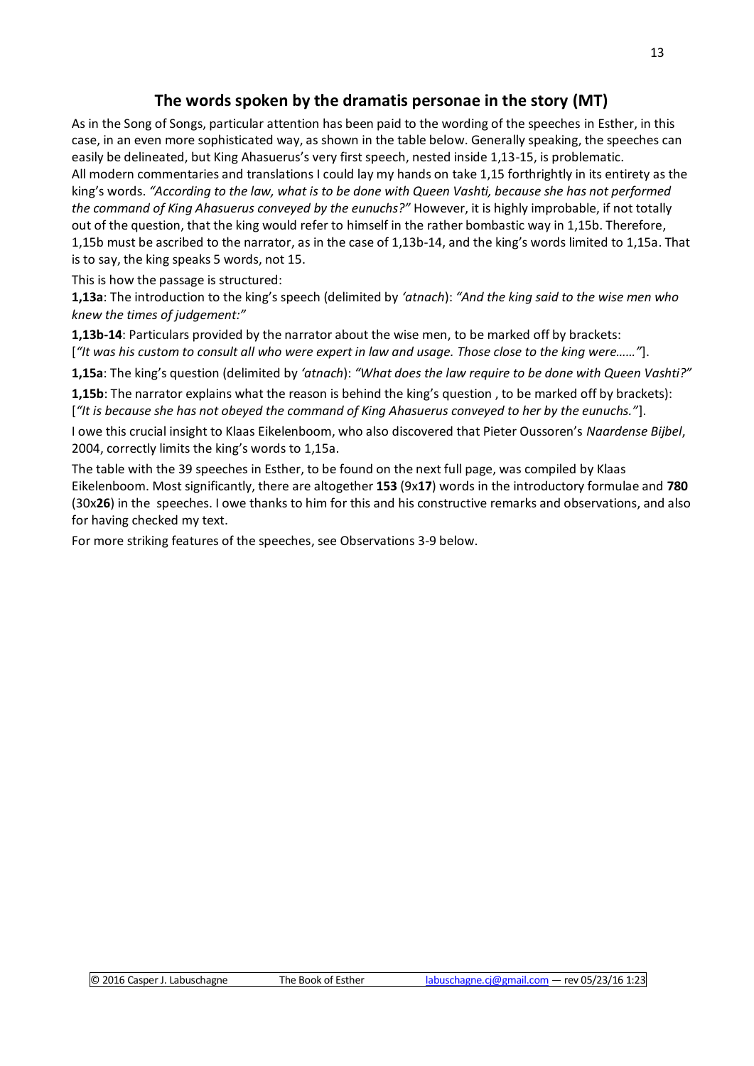# **The words spoken by the dramatis personae in the story (MT)**

As in the Song of Songs, particular attention has been paid to the wording of the speeches in Esther, in this case, in an even more sophisticated way, as shown in the table below. Generally speaking, the speeches can easily be delineated, but King Ahasuerus's very first speech, nested inside 1,13-15, is problematic. All modern commentaries and translations I could lay my hands on take 1,15 forthrightly in its entirety as the king's words. *"According to the law, what is to be done with Queen Vashti, because she has not performed the command of King Ahasuerus conveyed by the eunuchs?"* However, it is highly improbable, if not totally out of the question, that the king would refer to himself in the rather bombastic way in 1,15b. Therefore, 1,15b must be ascribed to the narrator, as in the case of 1,13b-14, and the king's words limited to 1,15a. That is to say, the king speaks 5 words, not 15.

This is how the passage is structured:

**1,13a**: The introduction to the king's speech (delimited by *'atnach*): *"And the king said to the wise men who knew the times of judgement:"*

**1,13b-14**: Particulars provided by the narrator about the wise men, to be marked off by brackets: [*"It was his custom to consult all who were expert in law and usage. Those close to the king were……"*].

**1,15a**: The king's question (delimited by *'atnach*): *"What does the law require to be done with Queen Vashti?"*

**1,15b**: The narrator explains what the reason is behind the king's question , to be marked off by brackets): [*"It is because she has not obeyed the command of King Ahasuerus conveyed to her by the eunuchs."*].

I owe this crucial insight to Klaas Eikelenboom, who also discovered that Pieter Oussoren's *Naardense Bijbel*, 2004, correctly limits the king's words to 1,15a.

The table with the 39 speeches in Esther, to be found on the next full page, was compiled by Klaas Eikelenboom. Most significantly, there are altogether **153** (9x**17**) words in the introductory formulae and **780** (30x**26**) in the speeches. I owe thanks to him for this and his constructive remarks and observations, and also for having checked my text.

For more striking features of the speeches, see Observations 3-9 below.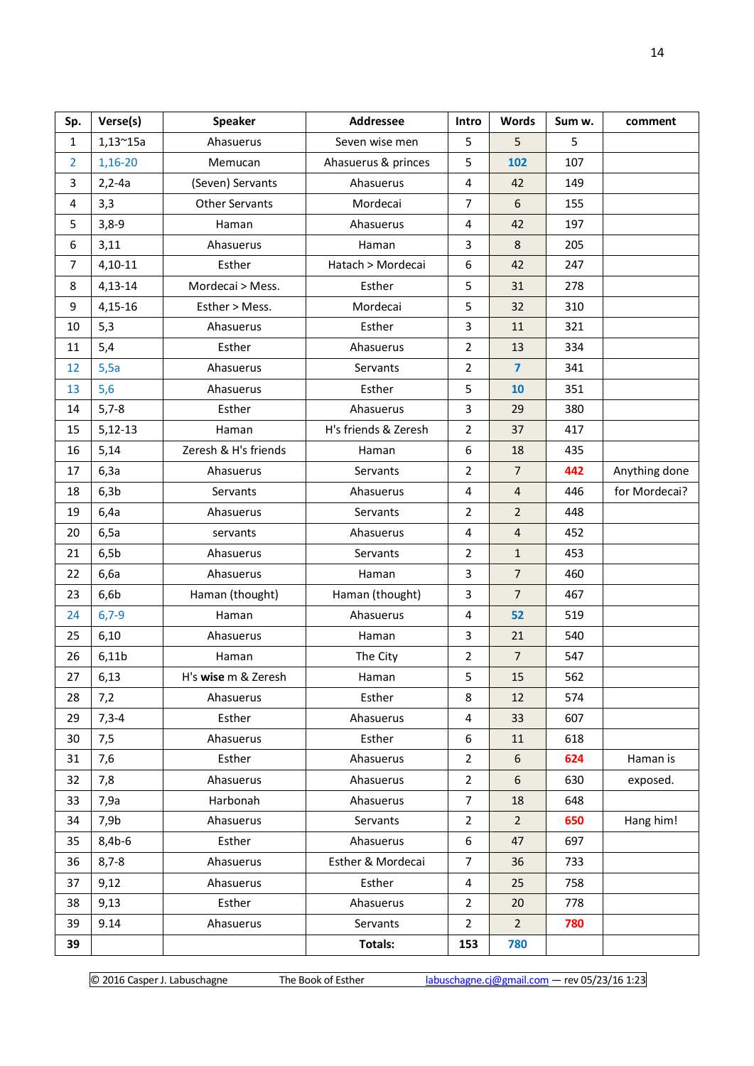| Sp.            | Verse(s)         | <b>Speaker</b>        | <b>Addressee</b>     | Intro                   | <b>Words</b>            | Sum w. | comment       |
|----------------|------------------|-----------------------|----------------------|-------------------------|-------------------------|--------|---------------|
| $\mathbf{1}$   | $1,13^{\sim}15a$ | Ahasuerus             | Seven wise men       |                         | 5                       | 5      |               |
| $\overline{2}$ | 1,16-20          | Memucan               | Ahasuerus & princes  | 5                       | 102                     | 107    |               |
| 3              | $2, 2 - 4a$      | (Seven) Servants      | Ahasuerus            | $\sqrt{4}$              | 42                      | 149    |               |
| 4              | 3,3              | <b>Other Servants</b> | Mordecai             | $\overline{7}$          | $\sqrt{6}$              | 155    |               |
| 5              | $3,8-9$          | Haman                 | Ahasuerus            | $\overline{4}$          | 42                      | 197    |               |
| 6              | 3,11             | Ahasuerus             | Haman                | 3                       | 8                       | 205    |               |
| $\overline{7}$ | $4,10-11$        | Esther                | Hatach > Mordecai    | 6                       | 42                      | 247    |               |
| 8              | $4,13-14$        | Mordecai > Mess.      | Esther               | 5                       | 31                      | 278    |               |
| 9              | $4,15-16$        | Esther > Mess.        | Mordecai             | 5                       | 32                      | 310    |               |
| 10             | 5,3              | Ahasuerus             | Esther               | 3                       | 11                      | 321    |               |
| 11             | 5,4              | Esther                | Ahasuerus            | $\overline{2}$          | 13                      | 334    |               |
| 12             | 5,5a             | Ahasuerus             | Servants             | $\overline{2}$          | $\overline{\mathbf{z}}$ | 341    |               |
| 13             | 5,6              | Ahasuerus             | Esther               | 5                       | 10                      | 351    |               |
| 14             | $5,7-8$          | Esther                | Ahasuerus            | 3                       | 29                      | 380    |               |
| 15             | $5,12-13$        | Haman                 | H's friends & Zeresh | $\overline{2}$          | 37                      | 417    |               |
| 16             | 5,14             | Zeresh & H's friends  | Haman                | 6                       | 18                      | 435    |               |
| 17             | 6,3a             | Ahasuerus             | Servants             | $\overline{2}$          | $\overline{7}$          | 442    | Anything done |
| 18             | 6,3b             | Servants              | Ahasuerus            | 4                       | $\overline{4}$          | 446    | for Mordecai? |
| 19             | 6,4a             | Ahasuerus             | Servants             | $\overline{2}$          | $\overline{2}$          | 448    |               |
| 20             | 6,5a             | servants              | Ahasuerus            | $\overline{4}$          | $\overline{4}$          | 452    |               |
| 21             | 6,5b             | Ahasuerus             | Servants             | $\overline{2}$          | $\mathbf{1}$            | 453    |               |
| 22             | 6,6a             | Ahasuerus             | Haman                | 3                       | $\overline{7}$          | 460    |               |
| 23             | 6,6b             | Haman (thought)       | Haman (thought)      | 3                       | $\overline{7}$          | 467    |               |
| 24             | $6,7-9$          | Haman                 | Ahasuerus            | $\overline{4}$          | 52                      | 519    |               |
| 25             | 6,10             | Ahasuerus             | Haman                | 3                       | 21                      | 540    |               |
| 26             | 6,11b            | Haman                 | The City             | $\overline{2}$          | $\overline{7}$          | 547    |               |
| 27             | 6,13             | H's wise m & Zeresh   | Haman                | 5                       | $15\,$                  | 562    |               |
| 28             | 7,2              | Ahasuerus             | Esther               | 8                       | 12                      | 574    |               |
| 29             | $7,3-4$          | Esther                | Ahasuerus            | $\overline{\mathbf{4}}$ | 33                      | 607    |               |
| 30             | 7,5              | Ahasuerus             | Esther               | 6                       | 11                      | 618    |               |
| 31             | 7,6              | Esther                | Ahasuerus            | $\overline{2}$          | $6\phantom{a}$          | 624    | Haman is      |
| 32             | 7,8              | Ahasuerus             | Ahasuerus            | $\overline{2}$          | 6                       | 630    | exposed.      |
| 33             | 7,9a             | Harbonah              | Ahasuerus            | $\overline{7}$          | 18                      | 648    |               |
| 34             | 7,9b             | Ahasuerus             | Servants             | $\overline{2}$          | $\overline{2}$          | 650    | Hang him!     |
| 35             | $8,4b-6$         | Esther                | Ahasuerus            | 6                       | 47                      | 697    |               |
| 36             | $8,7 - 8$        | Ahasuerus             | Esther & Mordecai    | $\overline{7}$          | 36                      | 733    |               |
| 37             | 9,12             | Ahasuerus             | Esther               | 4                       | 25                      | 758    |               |
| 38             | 9,13             | Esther                | Ahasuerus            | $\overline{2}$          | 20                      | 778    |               |
| 39             | 9.14             | Ahasuerus             | Servants             | $\overline{2}$          | $\overline{2}$          | 780    |               |
| 39             |                  |                       | Totals:              | 153                     | 780                     |        |               |

© 2016 Casper J. Labuschagne The Book of Esther [labuschagne.cj@gmail.com](mailto:labuschagne.cj@gmail.com) – rev 05/23/16 1:23